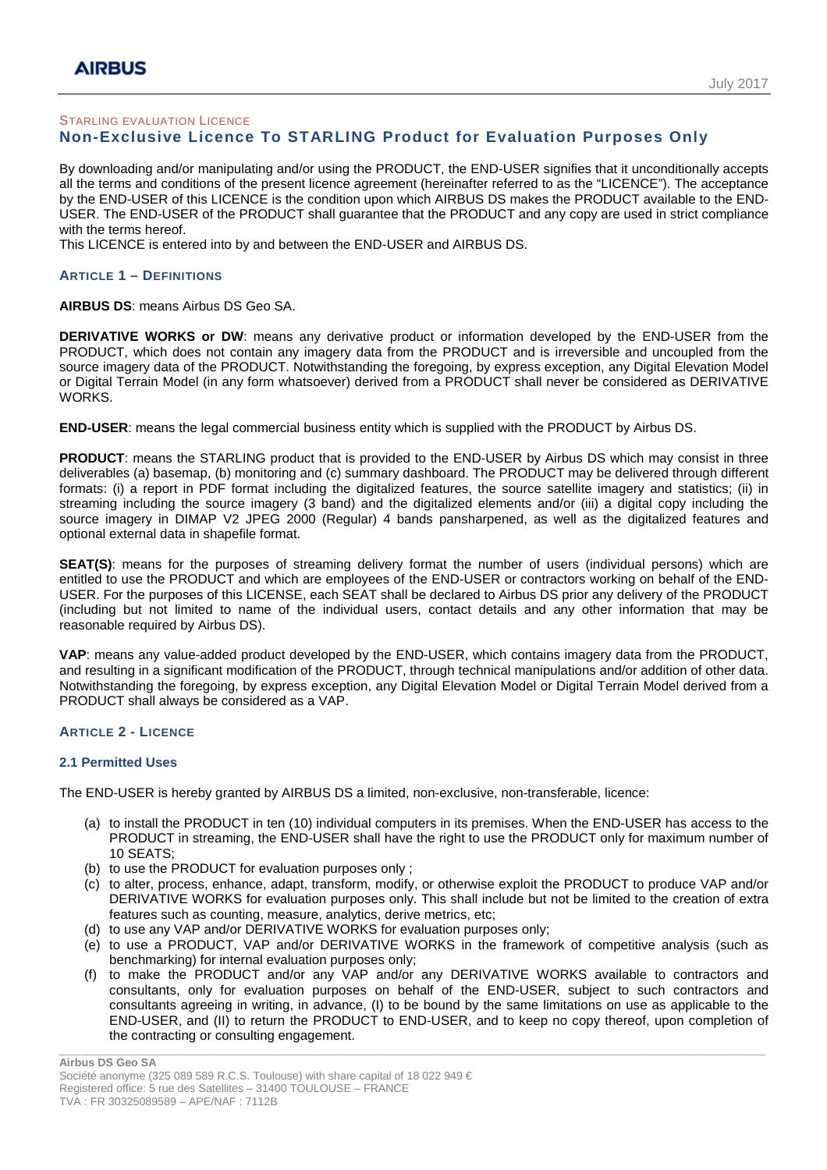## STARLING EVALUATION LICENCE **Non-Exclusive Licence To STARLING Product for Evaluation Purposes Only**

By downloading and/or manipulating and/or using the PRODUCT, the END-USER signifies that it unconditionally accepts all the terms and conditions of the present licence agreement (hereinafter referred to as the "LICENCE"). The acceptance by the END-USER of this LICENCE is the condition upon which AIRBUS DS makes the PRODUCT available to the END-USER. The END-USER of the PRODUCT shall guarantee that the PRODUCT and any copy are used in strict compliance with the terms hereof.

This LICENCE is entered into by and between the END-USER and AIRBUS DS.

# **ARTICLE 1 – DEFINITIONS**

### **AIRBUS DS**: means Airbus DS Geo SA.

**DERIVATIVE WORKS or DW**: means any derivative product or information developed by the END-USER from the PRODUCT, which does not contain any imagery data from the PRODUCT and is irreversible and uncoupled from the source imagery data of the PRODUCT. Notwithstanding the foregoing, by express exception, any Digital Elevation Model or Digital Terrain Model (in any form whatsoever) derived from a PRODUCT shall never be considered as DERIVATIVE WORKS.

**END-USER**: means the legal commercial business entity which is supplied with the PRODUCT by Airbus DS.

**PRODUCT**: means the STARLING product that is provided to the END-USER by Airbus DS which may consist in three deliverables (a) basemap, (b) monitoring and (c) summary dashboard. The PRODUCT may be delivered through different formats: (i) a report in PDF format including the digitalized features, the source satellite imagery and statistics; (ii) in streaming including the source imagery (3 band) and the digitalized elements and/or (iii) a digital copy including the source imagery in DIMAP V2 JPEG 2000 (Regular) 4 bands pansharpened, as well as the digitalized features and optional external data in shapefile format.

**SEAT(S)**: means for the purposes of streaming delivery format the number of users (individual persons) which are entitled to use the PRODUCT and which are employees of the END-USER or contractors working on behalf of the END-USER. For the purposes of this LICENSE, each SEAT shall be declared to Airbus DS prior any delivery of the PRODUCT (including but not limited to name of the individual users, contact details and any other information that may be reasonable required by Airbus DS).

**VAP**: means any value-added product developed by the END-USER, which contains imagery data from the PRODUCT, and resulting in a significant modification of the PRODUCT, through technical manipulations and/or addition of other data. Notwithstanding the foregoing, by express exception, any Digital Elevation Model or Digital Terrain Model derived from a PRODUCT shall always be considered as a VAP.

### **ARTICLE 2 - LICENCE**

### **2.1 Permitted Uses**

The END-USER is hereby granted by AIRBUS DS a limited, non-exclusive, non-transferable, licence:

- (a) to install the PRODUCT in ten (10) individual computers in its premises. When the END-USER has access to the PRODUCT in streaming, the END-USER shall have the right to use the PRODUCT only for maximum number of 10 SEATS;
- (b) to use the PRODUCT for evaluation purposes only ;
- (c) to alter, process, enhance, adapt, transform, modify, or otherwise exploit the PRODUCT to produce VAP and/or DERIVATIVE WORKS for evaluation purposes only. This shall include but not be limited to the creation of extra features such as counting, measure, analytics, derive metrics, etc;
- (d) to use any VAP and/or DERIVATIVE WORKS for evaluation purposes only;
- (e) to use a PRODUCT, VAP and/or DERIVATIVE WORKS in the framework of competitive analysis (such as benchmarking) for internal evaluation purposes only;
- (f) to make the PRODUCT and/or any VAP and/or any DERIVATIVE WORKS available to contractors and consultants, only for evaluation purposes on behalf of the END-USER, subject to such contractors and consultants agreeing in writing, in advance, (I) to be bound by the same limitations on use as applicable to the END-USER, and (II) to return the PRODUCT to END-USER, and to keep no copy thereof, upon completion of the contracting or consulting engagement.

\_\_\_\_\_\_\_\_\_\_\_\_\_\_\_\_\_\_\_\_\_\_\_\_\_\_\_\_\_\_\_\_\_\_\_\_\_\_\_\_\_\_\_\_\_\_\_\_\_\_\_\_\_\_\_\_\_\_\_\_\_\_\_\_\_\_\_\_\_\_\_\_\_\_\_\_\_\_\_\_\_\_\_\_\_\_\_\_\_\_\_\_\_\_\_\_\_\_\_\_\_\_\_\_\_\_\_\_\_\_\_\_\_\_\_\_\_\_\_\_\_\_\_\_\_\_\_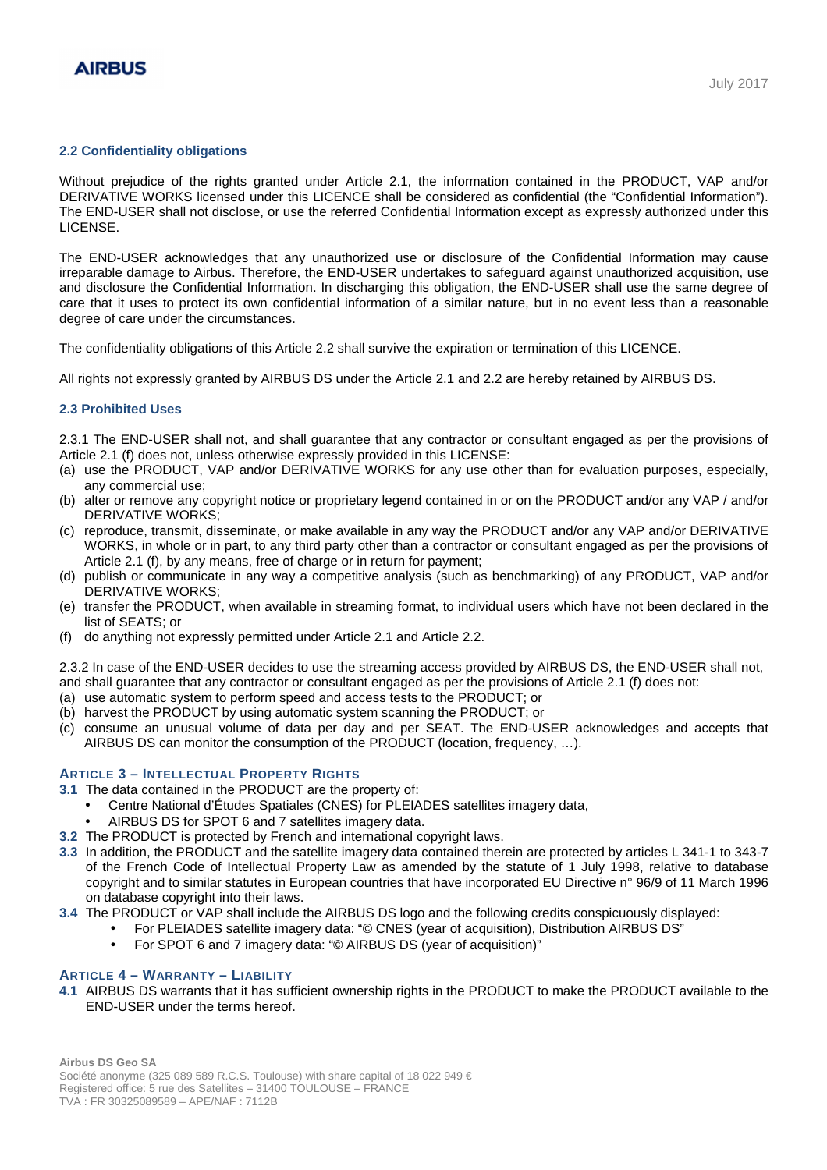## **2.2 Confidentiality obligations**

Without prejudice of the rights granted under Article 2.1, the information contained in the PRODUCT, VAP and/or DERIVATIVE WORKS licensed under this LICENCE shall be considered as confidential (the "Confidential Information"). The END-USER shall not disclose, or use the referred Confidential Information except as expressly authorized under this LICENSE.

The END-USER acknowledges that any unauthorized use or disclosure of the Confidential Information may cause irreparable damage to Airbus. Therefore, the END-USER undertakes to safeguard against unauthorized acquisition, use and disclosure the Confidential Information. In discharging this obligation, the END-USER shall use the same degree of care that it uses to protect its own confidential information of a similar nature, but in no event less than a reasonable degree of care under the circumstances.

The confidentiality obligations of this Article 2.2 shall survive the expiration or termination of this LICENCE.

All rights not expressly granted by AIRBUS DS under the Article 2.1 and 2.2 are hereby retained by AIRBUS DS.

### **2.3 Prohibited Uses**

2.3.1 The END-USER shall not, and shall guarantee that any contractor or consultant engaged as per the provisions of Article 2.1 (f) does not, unless otherwise expressly provided in this LICENSE:

- (a) use the PRODUCT, VAP and/or DERIVATIVE WORKS for any use other than for evaluation purposes, especially, any commercial use;
- (b) alter or remove any copyright notice or proprietary legend contained in or on the PRODUCT and/or any VAP / and/or DERIVATIVE WORKS;
- (c) reproduce, transmit, disseminate, or make available in any way the PRODUCT and/or any VAP and/or DERIVATIVE WORKS, in whole or in part, to any third party other than a contractor or consultant engaged as per the provisions of Article 2.1 (f), by any means, free of charge or in return for payment;
- (d) publish or communicate in any way a competitive analysis (such as benchmarking) of any PRODUCT, VAP and/or DERIVATIVE WORKS;
- (e) transfer the PRODUCT, when available in streaming format, to individual users which have not been declared in the list of SEATS; or
- (f) do anything not expressly permitted under Article 2.1 and Article 2.2.

2.3.2 In case of the END-USER decides to use the streaming access provided by AIRBUS DS, the END-USER shall not,

- and shall guarantee that any contractor or consultant engaged as per the provisions of Article 2.1 (f) does not:
- (a) use automatic system to perform speed and access tests to the PRODUCT; or
- (b) harvest the PRODUCT by using automatic system scanning the PRODUCT; or
- (c) consume an unusual volume of data per day and per SEAT. The END-USER acknowledges and accepts that AIRBUS DS can monitor the consumption of the PRODUCT (location, frequency, …).

## **ARTICLE 3 – INTELLECTUAL PROPERTY RIGHTS**

**3.1** The data contained in the PRODUCT are the property of:

- Centre National d'Études Spatiales (CNES) for PLEIADES satellites imagery data,
- AIRBUS DS for SPOT 6 and 7 satellites imagery data.
- **3.2** The PRODUCT is protected by French and international copyright laws.
- **3.3** In addition, the PRODUCT and the satellite imagery data contained therein are protected by articles L 341-1 to 343-7 of the French Code of Intellectual Property Law as amended by the statute of 1 July 1998, relative to database copyright and to similar statutes in European countries that have incorporated EU Directive n° 96/9 of 11 March 1996 on database copyright into their laws.
- **3.4** The PRODUCT or VAP shall include the AIRBUS DS logo and the following credits conspicuously displayed:
	- For PLEIADES satellite imagery data: "© CNES (year of acquisition), Distribution AIRBUS DS"
	- For SPOT 6 and 7 imagery data: "© AIRBUS DS (year of acquisition)"

### **ARTICLE 4 – WARRANTY – LIABILITY**

**4.1** AIRBUS DS warrants that it has sufficient ownership rights in the PRODUCT to make the PRODUCT available to the END-USER under the terms hereof.

\_\_\_\_\_\_\_\_\_\_\_\_\_\_\_\_\_\_\_\_\_\_\_\_\_\_\_\_\_\_\_\_\_\_\_\_\_\_\_\_\_\_\_\_\_\_\_\_\_\_\_\_\_\_\_\_\_\_\_\_\_\_\_\_\_\_\_\_\_\_\_\_\_\_\_\_\_\_\_\_\_\_\_\_\_\_\_\_\_\_\_\_\_\_\_\_\_\_\_\_\_\_\_\_\_\_\_\_\_\_\_\_\_\_\_\_\_\_\_\_\_\_\_\_\_\_\_